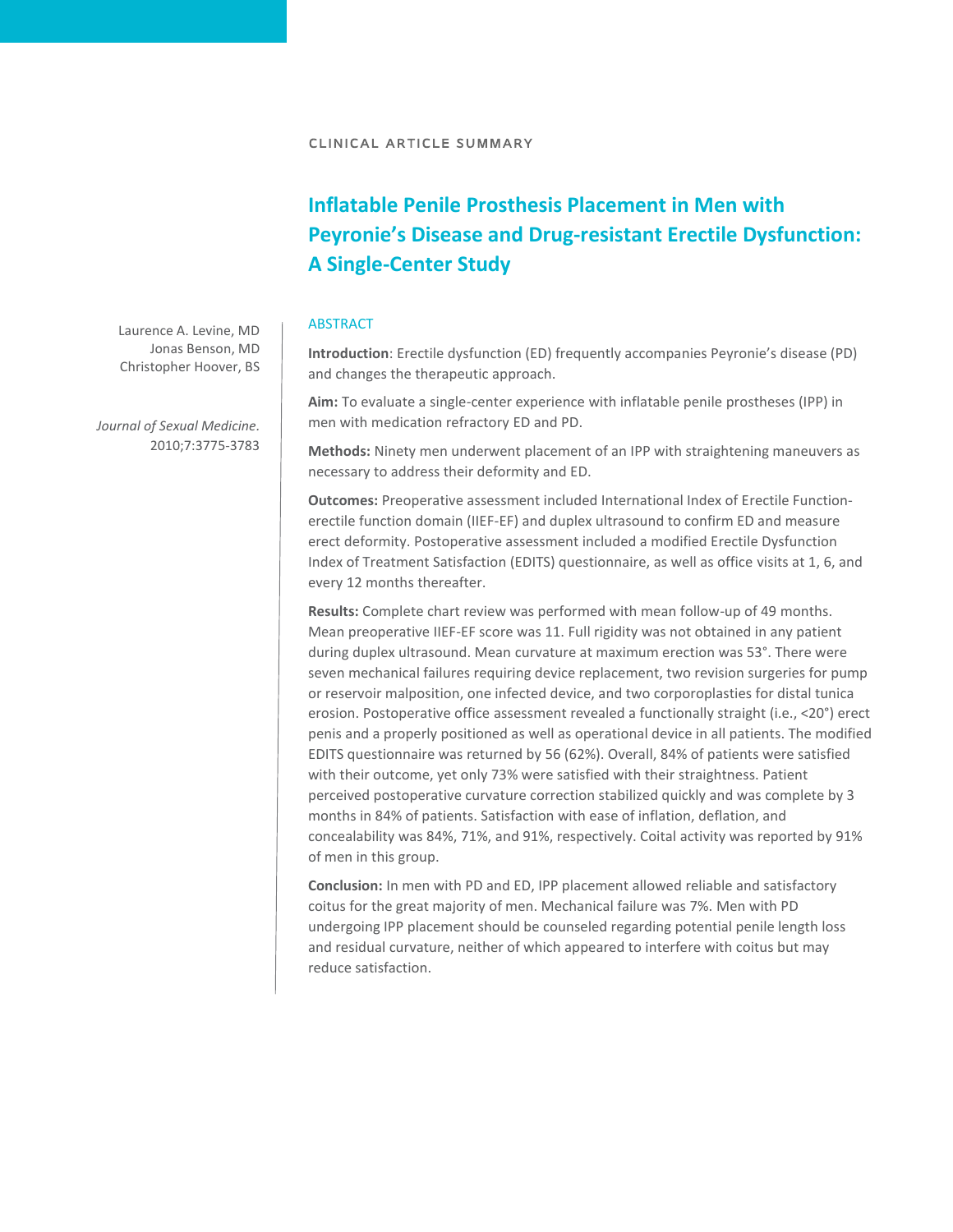## **Inflatable Penile Prosthesis Placement in Men with Peyronie's Disease and Drug-resistant Erectile Dysfunction: A Single-Center Study**

## **ABSTRACT**

**Introduction**: Erectile dysfunction (ED) frequently accompanies Peyronie's disease (PD) and changes the therapeutic approach.

**Aim:** To evaluate a single-center experience with inflatable penile prostheses (IPP) in men with medication refractory ED and PD.

**Methods:** Ninety men underwent placement of an IPP with straightening maneuvers as necessary to address their deformity and ED.

**Outcomes:** Preoperative assessment included International Index of Erectile Functionerectile function domain (IIEF-EF) and duplex ultrasound to confirm ED and measure erect deformity. Postoperative assessment included a modified Erectile Dysfunction Index of Treatment Satisfaction (EDITS) questionnaire, as well as office visits at 1, 6, and every 12 months thereafter.

**Results:** Complete chart review was performed with mean follow-up of 49 months. Mean preoperative IIEF-EF score was 11. Full rigidity was not obtained in any patient during duplex ultrasound. Mean curvature at maximum erection was 53°. There were seven mechanical failures requiring device replacement, two revision surgeries for pump or reservoir malposition, one infected device, and two corporoplasties for distal tunica erosion. Postoperative office assessment revealed a functionally straight (i.e., <20°) erect penis and a properly positioned as well as operational device in all patients. The modified EDITS questionnaire was returned by 56 (62%). Overall, 84% of patients were satisfied with their outcome, yet only 73% were satisfied with their straightness. Patient perceived postoperative curvature correction stabilized quickly and was complete by 3 months in 84% of patients. Satisfaction with ease of inflation, deflation, and concealability was 84%, 71%, and 91%, respectively. Coital activity was reported by 91% of men in this group.

**Conclusion:** In men with PD and ED, IPP placement allowed reliable and satisfactory coitus for the great majority of men. Mechanical failure was 7%. Men with PD undergoing IPP placement should be counseled regarding potential penile length loss and residual curvature, neither of which appeared to interfere with coitus but may reduce satisfaction.

Laurence A. Levine, MD Jonas Benson, MD Christopher Hoover, BS

*Journal of Sexual Medicine.* 2010;7:3775-3783